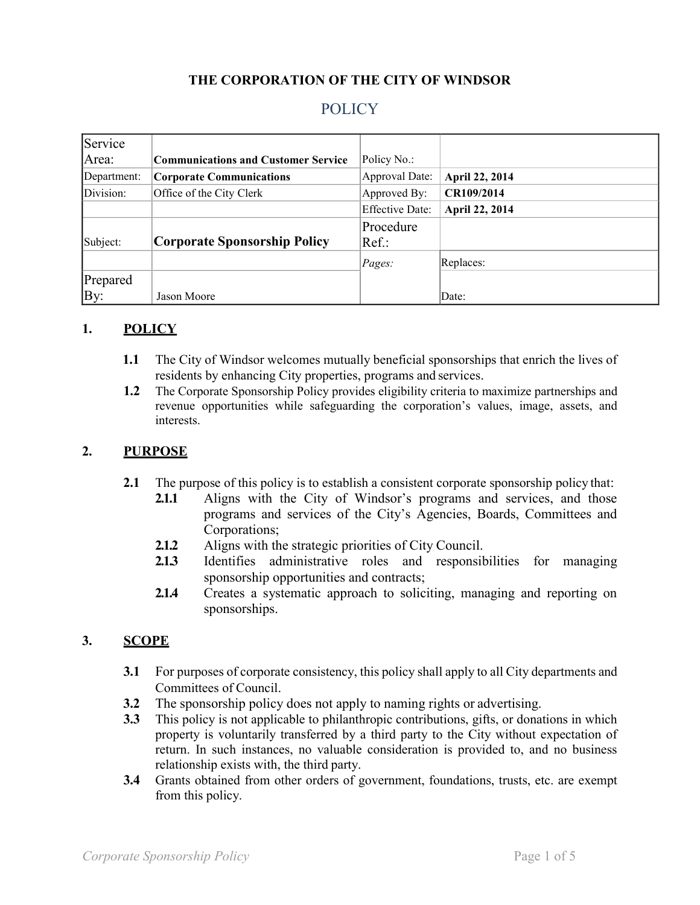## **THE CORPORATION OF THE CITY OF WINDSOR**

# POLICY

| Service     |                                            |                        |                |
|-------------|--------------------------------------------|------------------------|----------------|
| Area:       | <b>Communications and Customer Service</b> | Policy No.:            |                |
| Department: | <b>Corporate Communications</b>            | <b>Approval Date:</b>  | April 22, 2014 |
| Division:   | Office of the City Clerk                   | Approved By:           | CR109/2014     |
|             |                                            | <b>Effective Date:</b> | April 22, 2014 |
|             |                                            | Procedure              |                |
| Subject:    | Corporate Sponsorship Policy               | $Ref.$ :               |                |
|             |                                            | Pages:                 | Replaces:      |
| Prepared    |                                            |                        |                |
| By:         | Jason Moore                                |                        | Date:          |

#### **1. POLICY**

- **1.1** The City of Windsor welcomes mutually beneficial sponsorships that enrich the lives of residents by enhancing City properties, programs and services.
- **1.2** The Corporate Sponsorship Policy provides eligibility criteria to maximize partnerships and revenue opportunities while safeguarding the corporation's values, image, assets, and interests.

#### **2. PURPOSE**

- **2.1** The purpose of this policy is to establish a consistent corporate sponsorship policy that:
	- **2.1.1** Aligns with the City of Windsor's programs and services, and those programs and services of the City's Agencies, Boards, Committees and Corporations;
	- **2.1.2** Aligns with the strategic priorities of City Council.
	- **2.1.3** Identifies administrative roles and responsibilities for managing sponsorship opportunities and contracts;
	- **2.1.4** Creates a systematic approach to soliciting, managing and reporting on sponsorships.

#### **3. SCOPE**

- **3.1** For purposes of corporate consistency, this policy shall apply to all City departments and Committees of Council.
- **3.2** The sponsorship policy does not apply to naming rights or advertising.
- **3.3** This policy is not applicable to philanthropic contributions, gifts, or donations in which property is voluntarily transferred by a third party to the City without expectation of return. In such instances, no valuable consideration is provided to, and no business relationship exists with, the third party.
- **3.4** Grants obtained from other orders of government, foundations, trusts, etc. are exempt from this policy.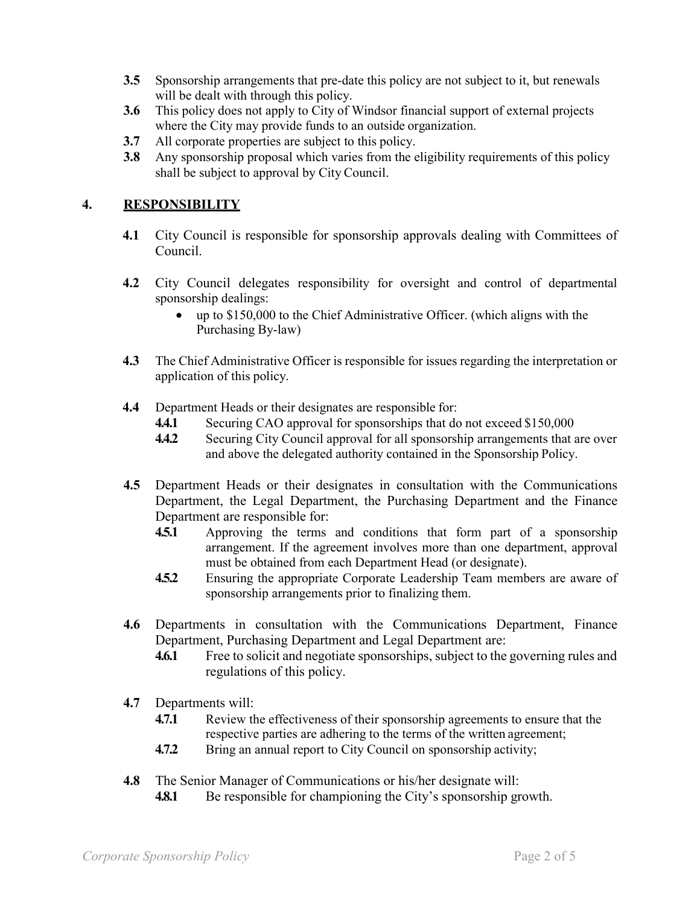- **3.5** Sponsorship arrangements that pre-date this policy are not subject to it, but renewals will be dealt with through this policy.
- **3.6** This policy does not apply to City of Windsor financial support of external projects where the City may provide funds to an outside organization.
- **3.7** All corporate properties are subject to this policy.
- **3.8** Any sponsorship proposal which varies from the eligibility requirements of this policy shall be subject to approval by City Council.

## **4. RESPONSIBILITY**

- **4.1** City Council is responsible for sponsorship approvals dealing with Committees of Council.
- **4.2** City Council delegates responsibility for oversight and control of departmental sponsorship dealings:
	- up to \$150,000 to the Chief Administrative Officer. (which aligns with the Purchasing By-law)
- **4.3** The Chief Administrative Officer is responsible for issues regarding the interpretation or application of this policy.
- **4.4** Department Heads or their designates are responsible for:
	- **4.4.1** Securing CAO approval for sponsorships that do not exceed \$150,000
	- **4.4.2** Securing City Council approval for all sponsorship arrangements that are over and above the delegated authority contained in the Sponsorship Policy.
- **4.5** Department Heads or their designates in consultation with the Communications Department, the Legal Department, the Purchasing Department and the Finance Department are responsible for:
	- **4.5.1** Approving the terms and conditions that form part of a sponsorship arrangement. If the agreement involves more than one department, approval must be obtained from each Department Head (or designate).
	- **4.5.2** Ensuring the appropriate Corporate Leadership Team members are aware of sponsorship arrangements prior to finalizing them.
- **4.6** Departments in consultation with the Communications Department, Finance Department, Purchasing Department and Legal Department are:
	- **4.6.1** Free to solicit and negotiate sponsorships, subject to the governing rules and regulations of this policy.
- **4.7** Departments will:
	- **4.7.1** Review the effectiveness of their sponsorship agreements to ensure that the respective parties are adhering to the terms of the written agreement;
	- **4.7.2** Bring an annual report to City Council on sponsorship activity;
- **4.8** The Senior Manager of Communications or his/her designate will:
	- **4.8.1** Be responsible for championing the City's sponsorship growth.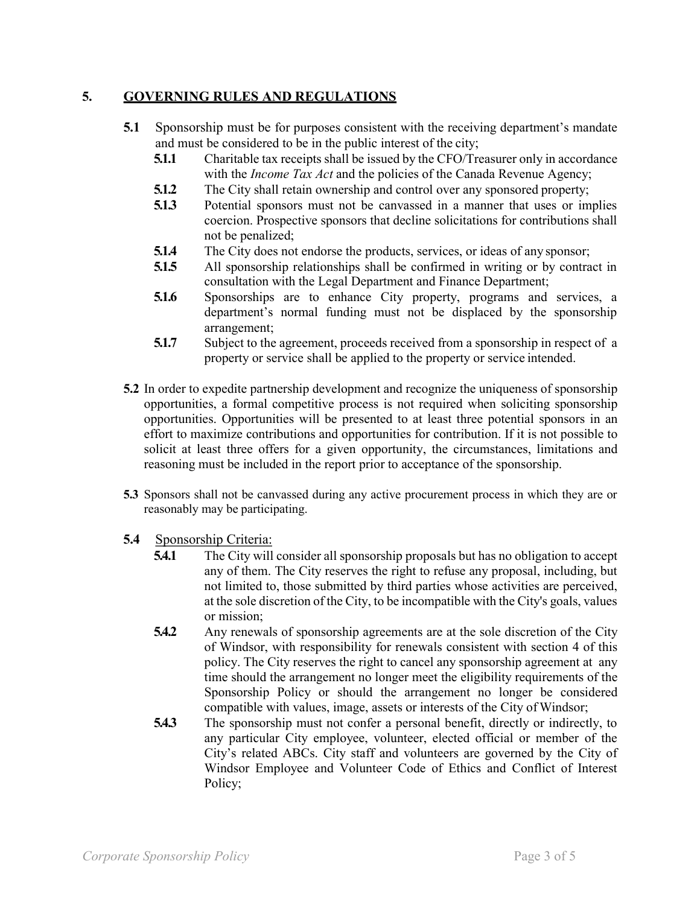## **5. GOVERNING RULES AND REGULATIONS**

- **5.1** Sponsorship must be for purposes consistent with the receiving department's mandate and must be considered to be in the public interest of the city;
	- **5.1.1** Charitable tax receipts shall be issued by the CFO/Treasurer only in accordance with the *Income Tax Act* and the policies of the Canada Revenue Agency;
	- **5.1.2** The City shall retain ownership and control over any sponsored property;
	- **5.1.3** Potential sponsors must not be canvassed in a manner that uses or implies coercion. Prospective sponsors that decline solicitations for contributions shall not be penalized;
	- **5.1.4** The City does not endorse the products, services, or ideas of any sponsor;
	- **5.1.5** All sponsorship relationships shall be confirmed in writing or by contract in consultation with the Legal Department and Finance Department;
	- **5.1.6** Sponsorships are to enhance City property, programs and services, a department's normal funding must not be displaced by the sponsorship arrangement;
	- **5.1.7** Subject to the agreement, proceeds received from a sponsorship in respect of a property or service shall be applied to the property or service intended.
- **5.2** In order to expedite partnership development and recognize the uniqueness of sponsorship opportunities, a formal competitive process is not required when soliciting sponsorship opportunities. Opportunities will be presented to at least three potential sponsors in an effort to maximize contributions and opportunities for contribution. If it is not possible to solicit at least three offers for a given opportunity, the circumstances, limitations and reasoning must be included in the report prior to acceptance of the sponsorship.
- **5.3** Sponsors shall not be canvassed during any active procurement process in which they are or reasonably may be participating.
- **5.4** Sponsorship Criteria:
	- **5.4.1** The City will consider all sponsorship proposals but has no obligation to accept any of them. The City reserves the right to refuse any proposal, including, but not limited to, those submitted by third parties whose activities are perceived, at the sole discretion of the City, to be incompatible with the City's goals, values or mission;
	- **5.4.2** Any renewals of sponsorship agreements are at the sole discretion of the City of Windsor, with responsibility for renewals consistent with section 4 of this policy. The City reserves the right to cancel any sponsorship agreement at any time should the arrangement no longer meet the eligibility requirements of the Sponsorship Policy or should the arrangement no longer be considered compatible with values, image, assets or interests of the City ofWindsor;
	- **5.4.3** The sponsorship must not confer a personal benefit, directly or indirectly, to any particular City employee, volunteer, elected official or member of the City's related ABCs. City staff and volunteers are governed by the City of Windsor Employee and Volunteer Code of Ethics and Conflict of Interest Policy;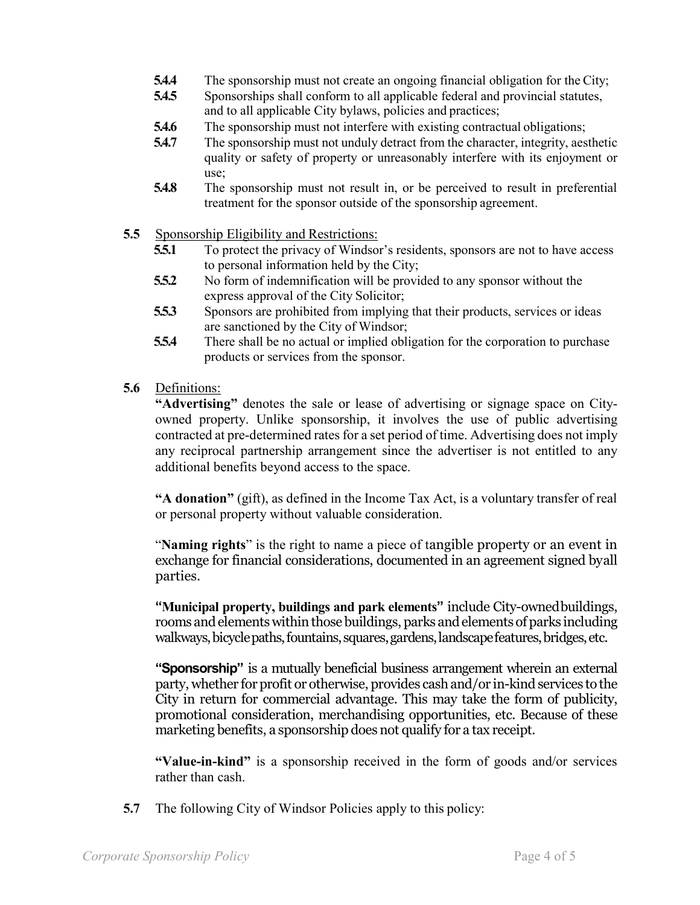- **5.4.4** The sponsorship must not create an ongoing financial obligation for the City;
- **5.4.5** Sponsorships shall conform to all applicable federal and provincial statutes, and to all applicable City bylaws, policies and practices;
- **5.4.6** The sponsorship must not interfere with existing contractual obligations;
- **5.4.7** The sponsorship must not unduly detract from the character, integrity, aesthetic quality or safety of property or unreasonably interfere with its enjoyment or use;
- **5.4.8** The sponsorship must not result in, or be perceived to result in preferential treatment for the sponsor outside of the sponsorship agreement.
- **5.5** Sponsorship Eligibility and Restrictions:<br>**5.5.1** To protect the privacy of Windson
	- **5.5.1** To protect the privacy of Windsor's residents, sponsors are not to have access to personal information held by the City;
	- **5.5.2** No form of indemnification will be provided to any sponsor without the express approval of the City Solicitor;
	- **5.5.3** Sponsors are prohibited from implying that their products, services or ideas are sanctioned by the City of Windsor;
	- **5.5.4** There shall be no actual or implied obligation for the corporation to purchase products or services from the sponsor.
- **5.6** Definitions:

**"Advertising"** denotes the sale or lease of advertising or signage space on Cityowned property. Unlike sponsorship, it involves the use of public advertising contracted at pre-determined rates for a set period of time. Advertising does not imply any reciprocal partnership arrangement since the advertiser is not entitled to any additional benefits beyond access to the space.

**"A donation"** (gift), as defined in the Income Tax Act, is a voluntary transfer of real or personal property without valuable consideration.

"**Naming rights**" is the right to name a piece of tangible property or an event in exchange for financial considerations, documented in an agreement signed byall parties.

**"Municipal property, buildings and park elements"** include City-ownedbuildings, rooms and elements within those buildings, parks and elements of parks including walkways, bicycle paths, fountains, squares, gardens, landscape features, bridges, etc.

**"Sponsorship"** is a mutually beneficial business arrangement wherein an external party, whether for profit or otherwise, provides cash and/or in-kind services to the City in return for commercial advantage. This may take the form of publicity, promotional consideration, merchandising opportunities, etc. Because of these marketing benefits, a sponsorship does not qualify for a tax receipt.

**"Value-in-kind"** is a sponsorship received in the form of goods and/or services rather than cash.

**5.7** The following City of Windsor Policies apply to this policy: